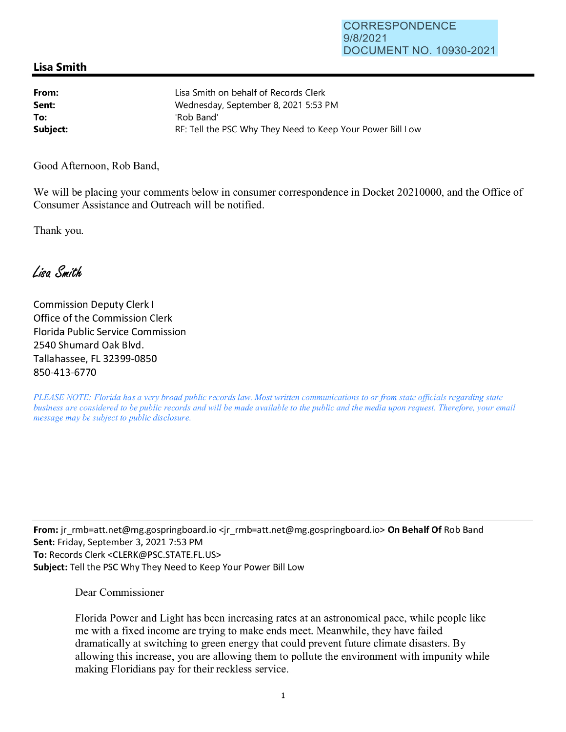## **Lisa Smith**

| From:    | Lisa Smith on behalf of Records Clerk                      |
|----------|------------------------------------------------------------|
| Sent:    | Wednesday, September 8, 2021 5:53 PM                       |
| To:      | 'Rob Band'                                                 |
| Subject: | RE: Tell the PSC Why They Need to Keep Your Power Bill Low |

Good Afternoon, Rob Band,

We will be placing your comments below in consumer correspondence in Docket 20210000, and the Office of Consumer Assistance and Outreach will be notified.

Thank you.

Lisa Smith

Commission Deputy Clerk I Office of the Commission Clerk Florida Public Service Commission 2540 Shumard Oak Blvd. Tallahassee, FL 32399-0850 850-413-6770

*PLEASE NOTE: Florida has a very broad public records law. Most written communications to or from state officials regarding state business are considered to be public records and will be made available to the public and the media upon request. Therefore, your email message may be subject to public disclosure.* 

**From:** jr\_rmb=att.net@mg.gospringboard.io <jr\_rmb=att.net@mg.gospringboard.io> **On Behalf Of** Rob Band **Sent:** Friday, September 3, 2021 7:53 PM **To:** Records Clerk <CLERK@PSC.STATE.FL.US> **Subject:** Tell the PSC Why They Need to Keep Your Power Bill Low

Dear Commissioner

Florida Power and Light has been increasing rates at an astronomical pace, while people like me with a fixed income are trying to make ends meet. Meanwhile, they have failed dramatically at switching to green energy that could prevent future climate disasters. By allowing this increase, you are allowing them to pollute the environment with impunity while making Floridians pay for their reckless service.